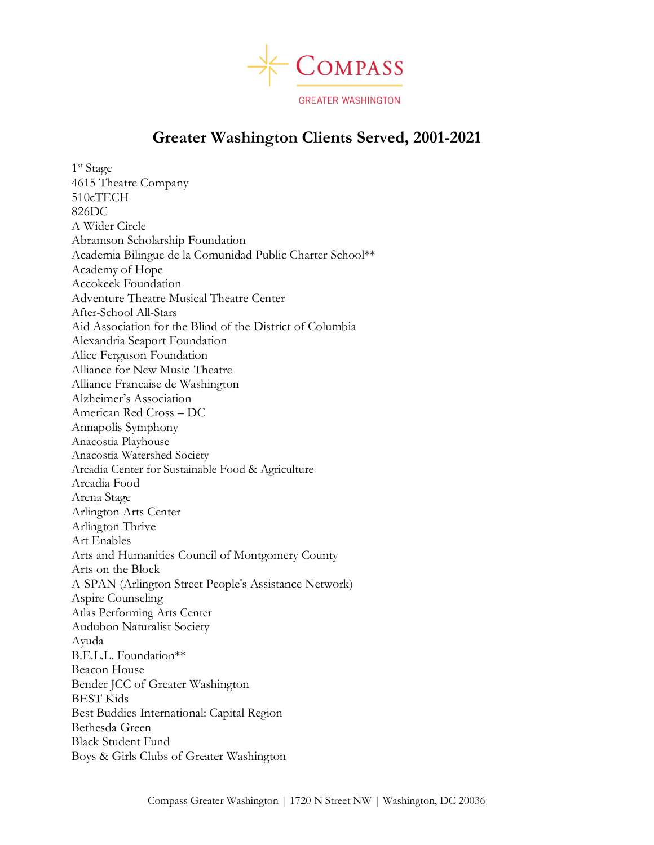

## **Greater Washington Clients Served, 2001-2021**

1<sup>st</sup> Stage 4615 Theatre Company 510cTECH 826DC A Wider Circle Abramson Scholarship Foundation Academia Bilingue de la Comunidad Public Charter School\*\* Academy of Hope Accokeek Foundation Adventure Theatre Musical Theatre Center After-School All-Stars Aid Association for the Blind of the District of Columbia Alexandria Seaport Foundation Alice Ferguson Foundation Alliance for New Music-Theatre Alliance Francaise de Washington Alzheimer's Association American Red Cross – DC Annapolis Symphony Anacostia Playhouse Anacostia Watershed Society Arcadia Center for Sustainable Food & Agriculture Arcadia Food Arena Stage Arlington Arts Center Arlington Thrive Art Enables Arts and Humanities Council of Montgomery County Arts on the Block A-SPAN (Arlington Street People's Assistance Network) Aspire Counseling Atlas Performing Arts Center Audubon Naturalist Society Ayuda B.E.L.L. Foundation\*\* Beacon House Bender JCC of Greater Washington BEST Kids Best Buddies International: Capital Region Bethesda Green Black Student Fund Boys & Girls Clubs of Greater Washington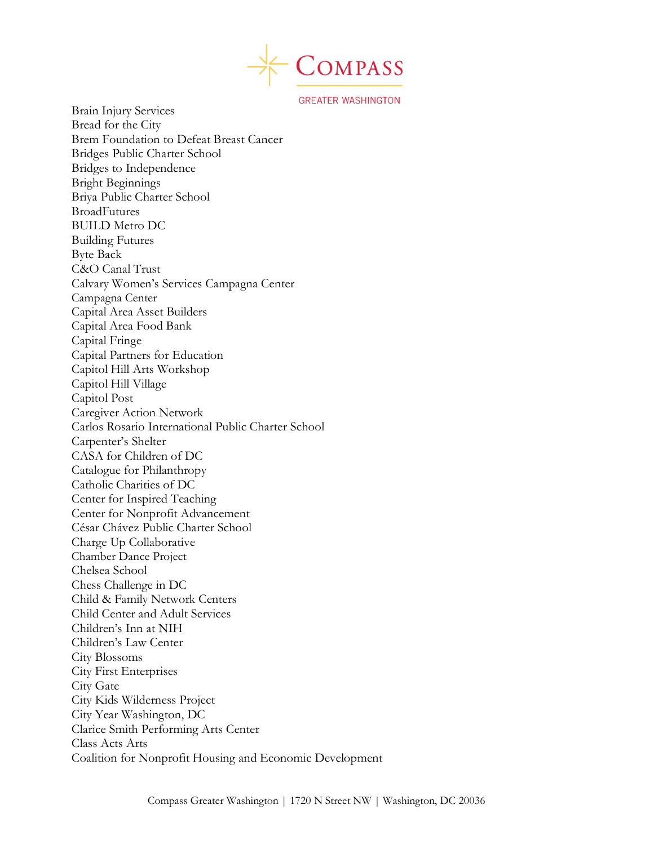

Brain Injury Services Bread for the City Brem Foundation to Defeat Breast Cancer Bridges Public Charter School Bridges to Independence Bright Beginnings Briya Public Charter School BroadFutures BUILD Metro DC Building Futures Byte Back C&O Canal Trust Calvary Women's Services Campagna Center Campagna Center Capital Area Asset Builders Capital Area Food Bank Capital Fringe Capital Partners for Education Capitol Hill Arts Workshop Capitol Hill Village Capitol Post Caregiver Action Network Carlos Rosario International Public Charter School Carpenter's Shelter CASA for Children of DC Catalogue for Philanthropy Catholic Charities of DC Center for Inspired Teaching Center for Nonprofit Advancement César Chávez Public Charter School Charge Up Collaborative Chamber Dance Project Chelsea School Chess Challenge in DC Child & Family Network Centers Child Center and Adult Services Children's Inn at NIH Children's Law Center City Blossoms City First Enterprises City Gate City Kids Wilderness Project City Year Washington, DC Clarice Smith Performing Arts Center Class Acts Arts Coalition for Nonprofit Housing and Economic Development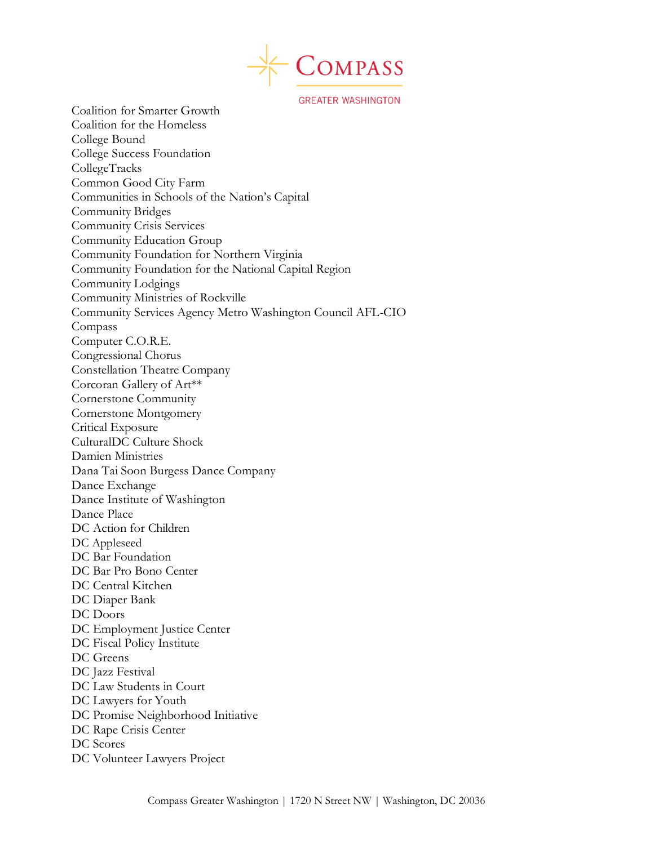

Coalition for Smarter Growth Coalition for the Homeless College Bound College Success Foundation CollegeTracks Common Good City Farm Communities in Schools of the Nation's Capital Community Bridges Community Crisis Services Community Education Group Community Foundation for Northern Virginia Community Foundation for the National Capital Region Community Lodgings Community Ministries of Rockville Community Services Agency Metro Washington Council AFL-CIO Compass Computer C.O.R.E. Congressional Chorus Constellation Theatre Company Corcoran Gallery of Art\*\* Cornerstone Community Cornerstone Montgomery Critical Exposure CulturalDC Culture Shock Damien Ministries Dana Tai Soon Burgess Dance Company Dance Exchange Dance Institute of Washington Dance Place DC Action for Children DC Appleseed DC Bar Foundation DC Bar Pro Bono Center DC Central Kitchen DC Diaper Bank DC Doors DC Employment Justice Center DC Fiscal Policy Institute DC Greens DC Jazz Festival DC Law Students in Court DC Lawyers for Youth DC Promise Neighborhood Initiative DC Rape Crisis Center DC Scores DC Volunteer Lawyers Project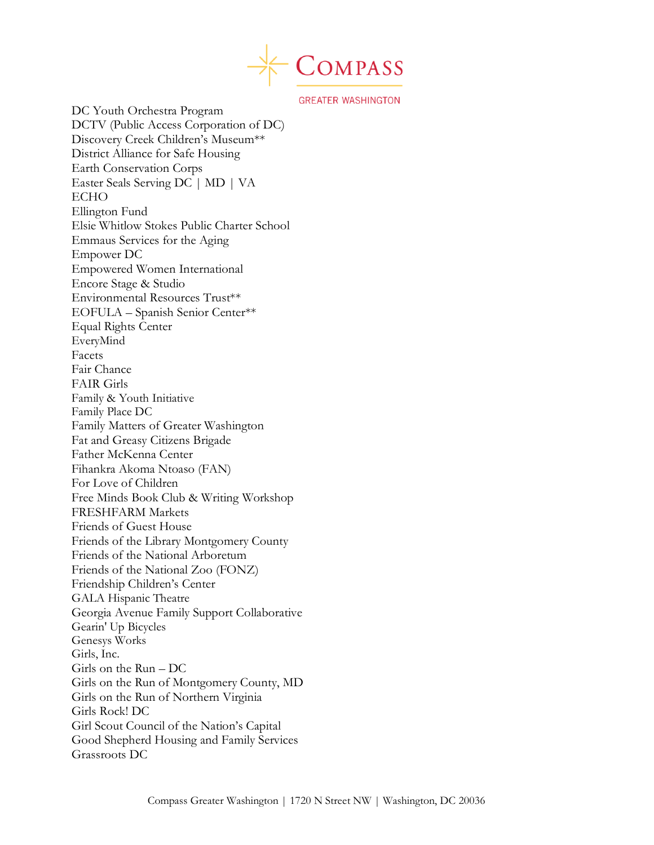

DC Youth Orchestra Program DCTV (Public Access Corporation of DC) Discovery Creek Children's Museum\*\* District Alliance for Safe Housing Earth Conservation Corps Easter Seals Serving DC | MD | VA ECHO Ellington Fund Elsie Whitlow Stokes Public Charter School Emmaus Services for the Aging Empower DC Empowered Women International Encore Stage & Studio Environmental Resources Trust\*\* EOFULA – Spanish Senior Center\*\* Equal Rights Center EveryMind Facets Fair Chance FAIR Girls Family & Youth Initiative Family Place DC Family Matters of Greater Washington Fat and Greasy Citizens Brigade Father McKenna Center Fihankra Akoma Ntoaso (FAN) For Love of Children Free Minds Book Club & Writing Workshop FRESHFARM Markets Friends of Guest House Friends of the Library Montgomery County Friends of the National Arboretum Friends of the National Zoo (FONZ) Friendship Children's Center GALA Hispanic Theatre Georgia Avenue Family Support Collaborative Gearin' Up Bicycles Genesys Works Girls, Inc. Girls on the Run – DC Girls on the Run of Montgomery County, MD Girls on the Run of Northern Virginia Girls Rock! DC Girl Scout Council of the Nation's Capital Good Shepherd Housing and Family Services Grassroots DC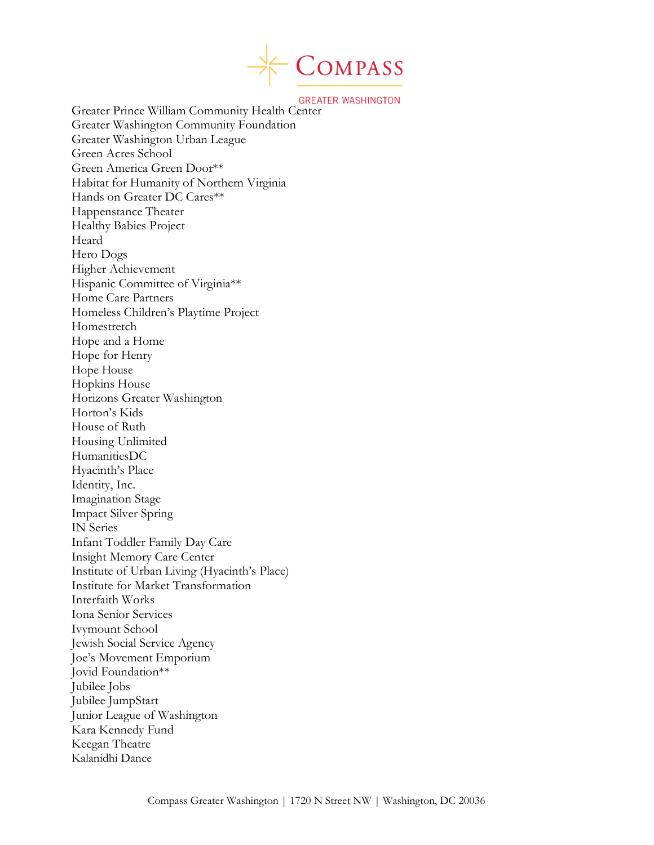

**GREATER WASHINGTON**<br>Greater Prince William Community Health Center Greater Washington Community Foundation Greater Washington Urban League Green Acres School Green America Green Door\*\* Habitat for Humanity of Northern Virginia Hands on Greater DC Cares\*\* Happenstance Theater Healthy Babies Project Heard Hero Dogs Higher Achievement Hispanic Committee of Virginia\*\* Home Care Partners Homeless Children's Playtime Project Homestretch Hope and a Home Hope for Henry Hope House Hopkins House Horizons Greater Washington Horton's Kids House of Ruth Housing Unlimited HumanitiesDC Hyacinth's Place Identity, Inc. Imagination Stage Impact Silver Spring IN Series Infant Toddler Family Day Care Insight Memory Care Center Institute of Urban Living (Hyacinth's Place) Institute for Market Transformation Interfaith Works Iona Senior Services Ivymount School Jewish Social Service Agency Joe's Movement Emporium Jovid Foundation\*\* Jubilee Jobs Jubilee JumpStart Junior League of Washington Kara Kennedy Fund Keegan Theatre Kalanidhi Dance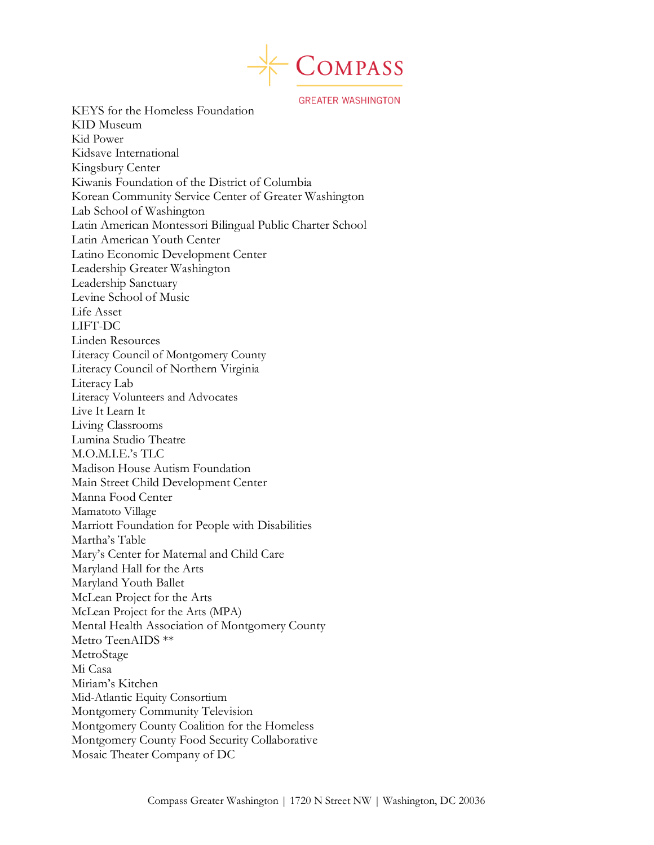

KEYS for the Homeless Foundation KID Museum Kid Power Kidsave International Kingsbury Center Kiwanis Foundation of the District of Columbia Korean Community Service Center of Greater Washington Lab School of Washington Latin American Montessori Bilingual Public Charter School Latin American Youth Center Latino Economic Development Center Leadership Greater Washington Leadership Sanctuary Levine School of Music Life Asset LIFT-DC Linden Resources Literacy Council of Montgomery County Literacy Council of Northern Virginia Literacy Lab Literacy Volunteers and Advocates Live It Learn It Living Classrooms Lumina Studio Theatre M.O.M.I.E.'s TLC Madison House Autism Foundation Main Street Child Development Center Manna Food Center Mamatoto Village Marriott Foundation for People with Disabilities Martha's Table Mary's Center for Maternal and Child Care Maryland Hall for the Arts Maryland Youth Ballet McLean Project for the Arts McLean Project for the Arts (MPA) Mental Health Association of Montgomery County Metro TeenAIDS \*\* MetroStage Mi Casa Miriam's Kitchen Mid-Atlantic Equity Consortium Montgomery Community Television Montgomery County Coalition for the Homeless Montgomery County Food Security Collaborative Mosaic Theater Company of DC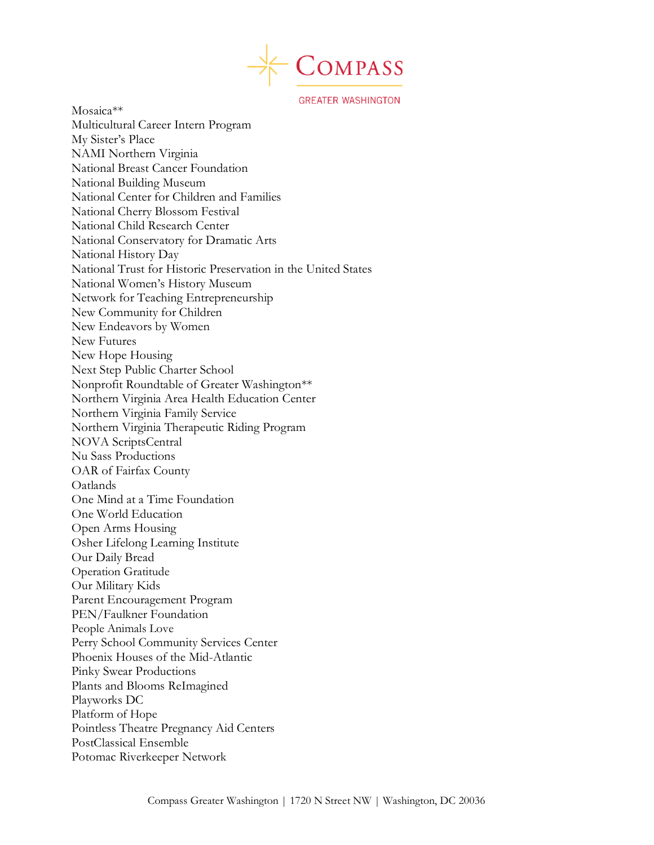

Mosaica\*\* Multicultural Career Intern Program My Sister's Place NAMI Northern Virginia National Breast Cancer Foundation National Building Museum National Center for Children and Families National Cherry Blossom Festival National Child Research Center National Conservatory for Dramatic Arts National History Day National Trust for Historic Preservation in the United States National Women's History Museum Network for Teaching Entrepreneurship New Community for Children New Endeavors by Women New Futures New Hope Housing Next Step Public Charter School Nonprofit Roundtable of Greater Washington\*\* Northern Virginia Area Health Education Center Northern Virginia Family Service Northern Virginia Therapeutic Riding Program NOVA ScriptsCentral Nu Sass Productions OAR of Fairfax County **Oatlands** One Mind at a Time Foundation One World Education Open Arms Housing Osher Lifelong Learning Institute Our Daily Bread Operation Gratitude Our Military Kids Parent Encouragement Program PEN/Faulkner Foundation People Animals Love Perry School Community Services Center Phoenix Houses of the Mid-Atlantic Pinky Swear Productions Plants and Blooms ReImagined Playworks DC Platform of Hope Pointless Theatre Pregnancy Aid Centers PostClassical Ensemble Potomac Riverkeeper Network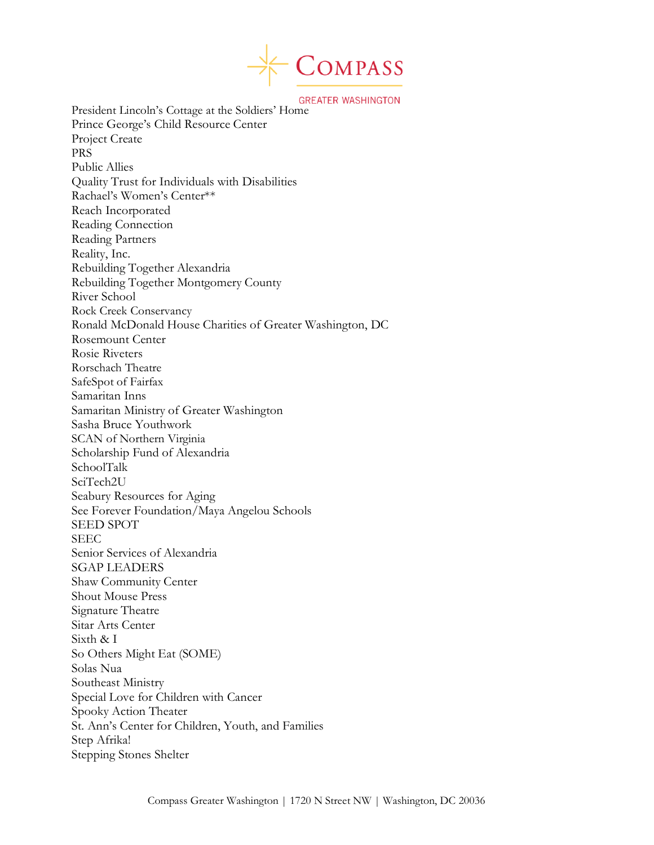

**GREATER WASHINGTON**<br>President Lincoln's Cottage at the Soldiers' Home Prince George's Child Resource Center Project Create PRS Public Allies Quality Trust for Individuals with Disabilities Rachael's Women's Center\*\* Reach Incorporated Reading Connection Reading Partners Reality, Inc. Rebuilding Together Alexandria Rebuilding Together Montgomery County River School Rock Creek Conservancy Ronald McDonald House Charities of Greater Washington, DC Rosemount Center Rosie Riveters Rorschach Theatre SafeSpot of Fairfax Samaritan Inns Samaritan Ministry of Greater Washington Sasha Bruce Youthwork SCAN of Northern Virginia Scholarship Fund of Alexandria SchoolTalk SciTech2U Seabury Resources for Aging See Forever Foundation/Maya Angelou Schools SEED SPOT SEEC Senior Services of Alexandria SGAP LEADERS Shaw Community Center Shout Mouse Press Signature Theatre Sitar Arts Center Sixth & I So Others Might Eat (SOME) Solas Nua Southeast Ministry Special Love for Children with Cancer Spooky Action Theater St. Ann's Center for Children, Youth, and Families Step Afrika! Stepping Stones Shelter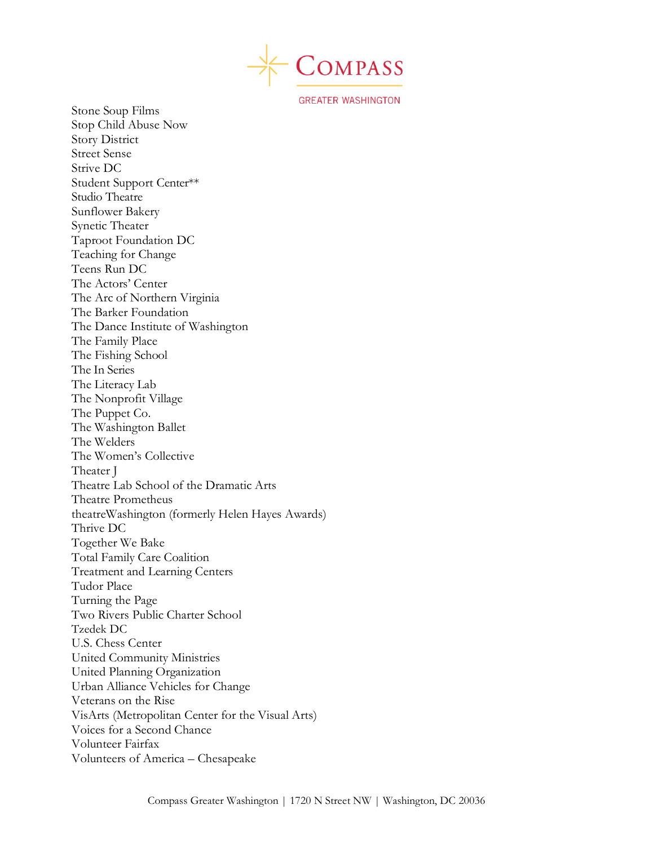

Stone Soup Films Stop Child Abuse Now Story District Street Sense Strive DC Student Support Center\*\* Studio Theatre Sunflower Bakery Synetic Theater Taproot Foundation DC Teaching for Change Teens Run DC The Actors' Center The Arc of Northern Virginia The Barker Foundation The Dance Institute of Washington The Family Place The Fishing School The In Series The Literacy Lab The Nonprofit Village The Puppet Co. The Washington Ballet The Welders The Women's Collective Theater J Theatre Lab School of the Dramatic Arts Theatre Prometheus theatreWashington (formerly Helen Hayes Awards) Thrive DC Together We Bake Total Family Care Coalition Treatment and Learning Centers Tudor Place Turning the Page Two Rivers Public Charter School Tzedek DC U.S. Chess Center United Community Ministries United Planning Organization Urban Alliance Vehicles for Change Veterans on the Rise VisArts (Metropolitan Center for the Visual Arts) Voices for a Second Chance Volunteer Fairfax Volunteers of America – Chesapeake